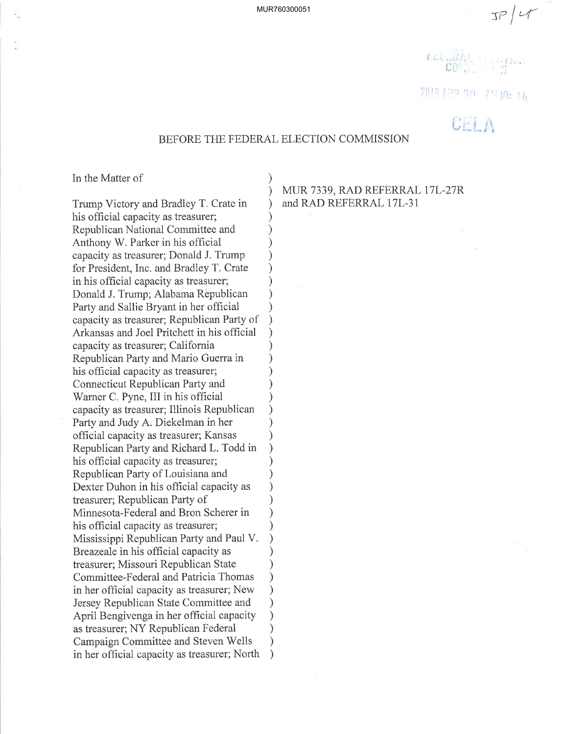$\frac{1}{2}$ 

2019 102 30 mm p: 1b

 $\mathbb{G}$ r i A

# BEFORE THE FEDERAL ELECTION COMMISSION

) )

> ) ) ) ) ) ) ) ) ) ) ) ) ) ) ) ) ) ) ) ) ) ) ) ) ) ) ) ) ) ) ) ) )  $\lambda$ )

In the Matter of

Trump Victory and Bradley T. Crate in his official capacity as treasurer; Republican National Committee and Anthony W. Parker in his official capacity as treasurer; Donald J. Trump for President, Inc. and Bradley T. Crate in his official capacity as treasurer; Donald J. Trump; Alabama Rêpublican Party and Sallie Bryant in her official capacity as treasurer; Republican Party of Arkansas and Joel Pritchett in his official capacity as treasurer; California Republican Party and Mario Guerra in his offìcial capacity as treasurer; Connecticut Republican Party and Warner C. Pyne, III in his official capacity as treasuret; Illinois Republican Party and Judy A. Diekelman in her official capacity as treasurer; Kansas Republican Party and Richard L. Todd in his official capacity as treasurer; Republican Party of Louisiana and Dexter Duhon in his official capacity as treasurer; Republican Party of Minnesota-Federal and Bron Scherer in his official capacity as treasurer; Mississippi Republican Party and Paul V. Breazeale in his official capacity as treasurer; Missouri Republican State Committee-Federal and Patricia Thomas in her official capacity as treasurer; New Jersey Republican State Committee and April Bengivenga in her official capacity as treasurer; NY Republican Federal Campaign Committee and Steven Wells in her official capacity as treasurer; North  $\lambda$ 

MUR 7339, RAD REFERRAL I7L-27R and RAD REFERRAL 17L-31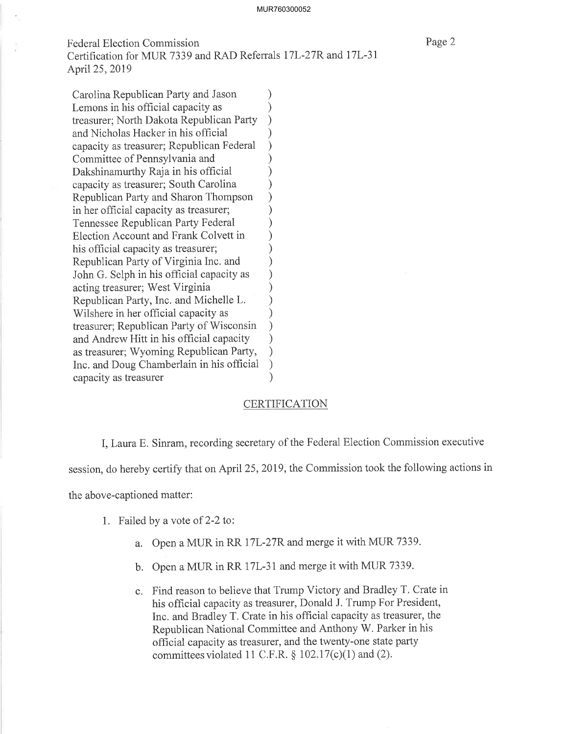Federal Election Commission Certification for MUR 7339 and RAD Referrals I7L-27R and l7L-31 April25,2019

Carolina Republican Party and Jason<br>Lemons in his official capacity as Lemons in his official capacity as (1) (1) treasurer: North Dakota Republican Party treasurer; North Dakota Republican Party ) and Nicholas Hacker in his official ) capacity as treasurer; Republican Federal (2)<br>Committee of Pennsylvania and (2) Committee of Pennsylvania and ) Dakshinamurthy Raja in his official (1) capacity as treasurer; South Carolina  $\qquad \qquad$ ) Republican Party and Sharon Thompson )<br>in her official canacity as treasurer: in her official capacity as treasurer; Tennessee Republican Party Federal ) Election Account and Frank Colvett in ) his official capacity as treasurer;<br>Republican Party of Virginia Inc. and Republican Party of Virginia Inc. and ) John G. Selph in his official capacity as () acting treasurer; West Virginia (1) Republican Party, Inc. and Michelle L.  $)$ Wilshere in her official capacity as  $\qquad$ ) treasurer; Republican Party of Wisconsin ) and Andrew Hitt in his official capacity ) as treasurer; Wyoming Republican Party, ) Inc. and Doug Chamberlain in his official (canacity as treasurer capacity as treasurer

### **CERTIFICATION**

I,LauraE. Sinram, recording secretary of the Federal Election Commission executive

session, do hereby certify that on April25,2019, the Commission took the following actions in

the above-captioned matter:

- 1. Failed by a vote of 2-2 to:
	- a. Open a MUR in RR 17L-27R and merge it with MUR 7339.
	- b. Open a MUR in RR 17L-31 and merge it with MUR 7339.
	- c. Find reason to believe that Trump Victory and Bradley T. Crate in his official capacity as treasurer, Donald J. Trump For President, Inc. and Bradley T. Crate in his official capacity as treasurer, the Republican National Committee and Anthony W. Parker in his official capacity as treasurer, and the twenty-one state party committees violated 11 C.F.R.  $\S$  102.17(c)(1) and (2).

Page 2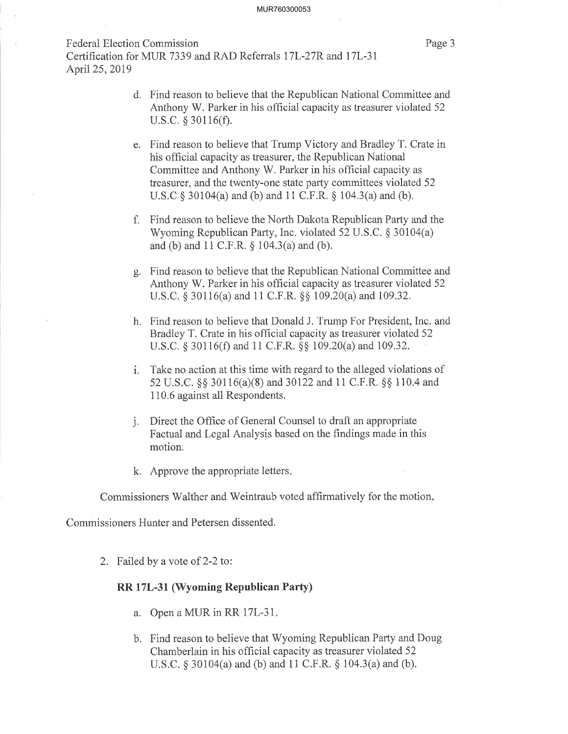#### MUR760300053

Federal Election Commission Certification for MUR 7339 and RAD Referrals I7L-27R and l7L-31 April25,2019

Page 3

- d. Find reason to believe that the Republican National Committee and Anthony W. Parker in his official capacity as treasurer violated 52 u.s.c. \$ 30116(Ð.
- e. Find reason to believe that Trump Victory and Bradley T. Crate in his official capacity as treasurer, the Republican National Committee and Anthony W. Parker in his official capacity as treasurer, and the twenty-one state party committees violated 52 U.S.C  $\&$  30104(a) and (b) and 11 C.F.R.  $\&$  104.3(a) and (b).
- f. Find reason to believe the North Dakota Republican Party and the Wyoming Republican Party, Inc. violated 52 U.S.C.  $\S 30104(a)$ and (b) and  $11 \text{ C.F.R. } § 104.3(a)$  and (b).
- g. Find reason to believe that the Republican National Committee and Anthony W. Parker in his official capacity as treasurer violated 52 U.S.C. \$ 30116(a) and 1i C.F.R. \$\$ 109.20(a) and 109.32.
- h. Find reason to believe that Donald J. Trump For President, Inc. and Bradley T. Crate in his official capacity as treasurer violated 52 U.S.C. § 30116(f) and 11 C.F.R. §§ 109.20(a) and 109.32.
- Take no action at this time with regard to the alleged violations of 52 U.S.C. §§ 30116(a)(8) and 30122 and 11 C.F.R. §§ 110.4 and 110.6 against all Respondents.
- j. Direct the Office of General Counsel to draft an appropriate Factual and Legal Analysis based on the findings made in this motion.
- k. Approve the appropriate letters

Commissioners Walther and Weintraub voted affirmatively for the motion

Commissioners Hunter and Petersen dissented.

2. Failed by a vote of 2-2 to:

## RR 17L-31, (Wyoming Republican Parfy)

- a. Open a MUR in RR I7L-31
- b. Find reason to believe that Wyoming Republican Party and Doug Chamberlain in his official capacity as treasurer violated 52 U.S.C.  $\S 30104(a)$  and (b) and 11 C.F.R.  $\S 104.3(a)$  and (b).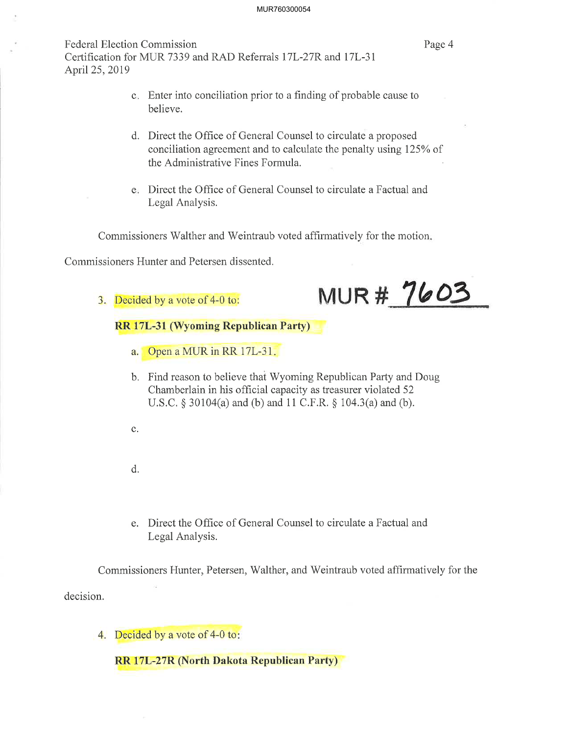### MUR760300054

Federal Election Commission Certification for MUR 7339 and RAD Referrals 17L-27R and 17L-31 April 25, 2019

Page 4

- c. Enter into conciliation prior to a finding of probable cause to believe.
- d. Direct the Office of General Counsel to circulate a proposed conciliation agreement and to calculate the penalty using 125% of the Administrative Fines Formula.
- Direct the Offìce of General Counsel to circulate a Factual and e Legal Analysis.

Commissioners'Walther and Weintraub voted affirmatively for the motion

Commissioners Hunter and Petersen dissented.

3. Decided by a vote of 4-0 to:



RR 17L-31 (Wyoming Republican Party)

- a. Open a MUR in RR 17L-31
- b. Find reason to believe that Wyoming Republican Party and Doug Chamberlain in his official capacity as treasurer violated 52 U.S.C.  $\S 30104(a)$  and (b) and 11 C.F.R.  $\S 104.3(a)$  and (b).
- c.
- d.
- e. Direct the Office of General Counsel to circulate a Factual and Legal Analysis.

decision. Commissioners Hunter, Petersen, Walther, and'Weintraub voted affirmatively for the

4. Decided by a vote of 4-0 to:

RR 17L-27R (North Dakota Republican Party)